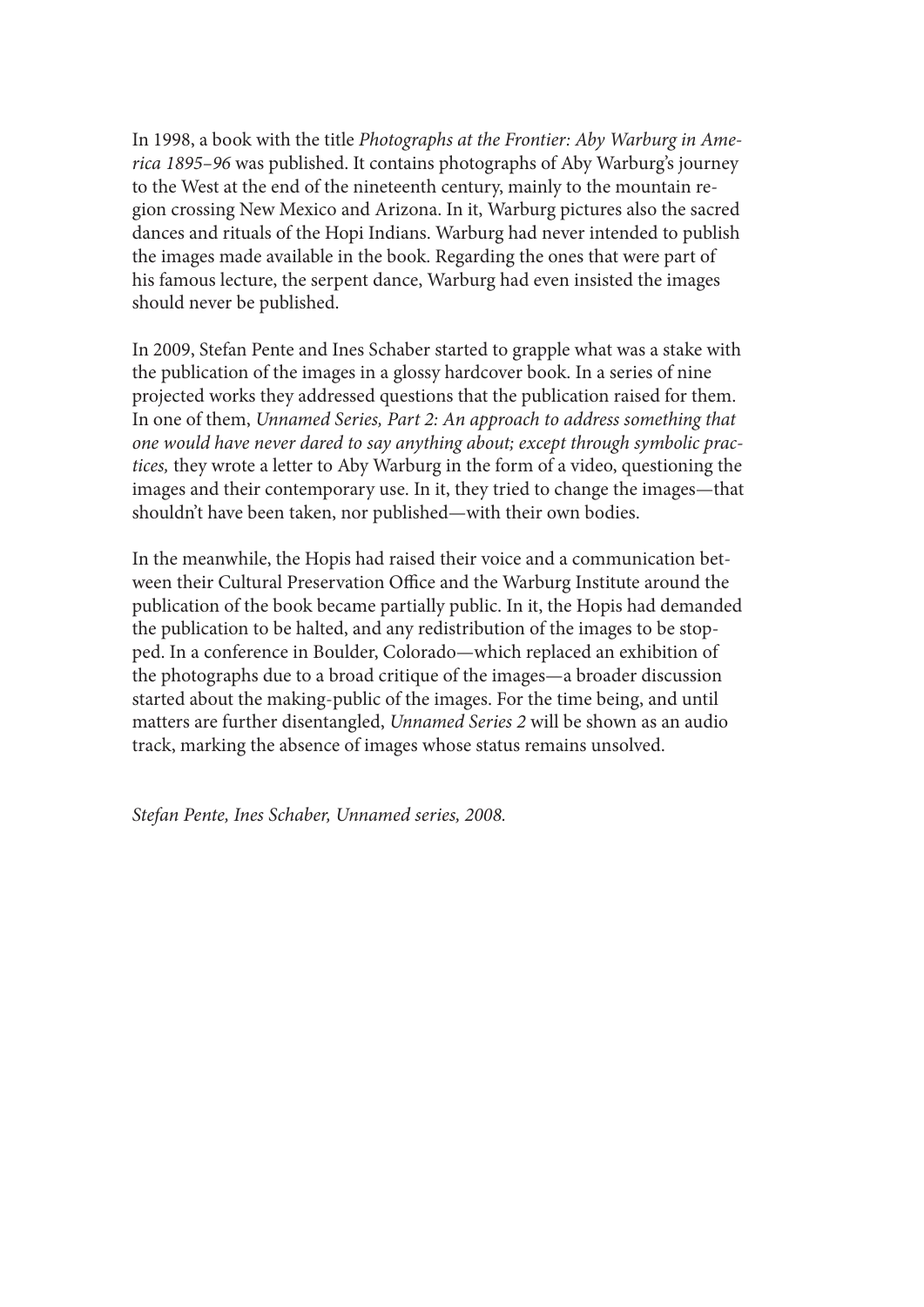In 1998, a book with the title *Photographs at the Frontier: Aby Warburg in America 1895–96* was published. It contains photographs of Aby Warburg's journey to the West at the end of the nineteenth century, mainly to the mountain region crossing New Mexico and Arizona. In it, Warburg pictures also the sacred dances and rituals of the Hopi Indians. Warburg had never intended to publish the images made available in the book. Regarding the ones that were part of his famous lecture, the serpent dance, Warburg had even insisted the images should never be published.

In 2009, Stefan Pente and Ines Schaber started to grapple what was a stake with the publication of the images in a glossy hardcover book. In a series of nine projected works they addressed questions that the publication raised for them. In one of them, *Unnamed Series, Part 2: An approach to address something that one would have never dared to say anything about; except through symbolic practices,* they wrote a letter to Aby Warburg in the form of a video, questioning the images and their contemporary use. In it, they tried to change the images—that shouldn't have been taken, nor published—with their own bodies.

In the meanwhile, the Hopis had raised their voice and a communication between their Cultural Preservation Office and the Warburg Institute around the publication of the book became partially public. In it, the Hopis had demanded the publication to be halted, and any redistribution of the images to be stopped. In a conference in Boulder, Colorado—which replaced an exhibition of the photographs due to a broad critique of the images—a broader discussion started about the making-public of the images. For the time being, and until matters are further disentangled, *Unnamed Series 2* will be shown as an audio track, marking the absence of images whose status remains unsolved.

*Stefan Pente, Ines Schaber, Unnamed series, 2008.*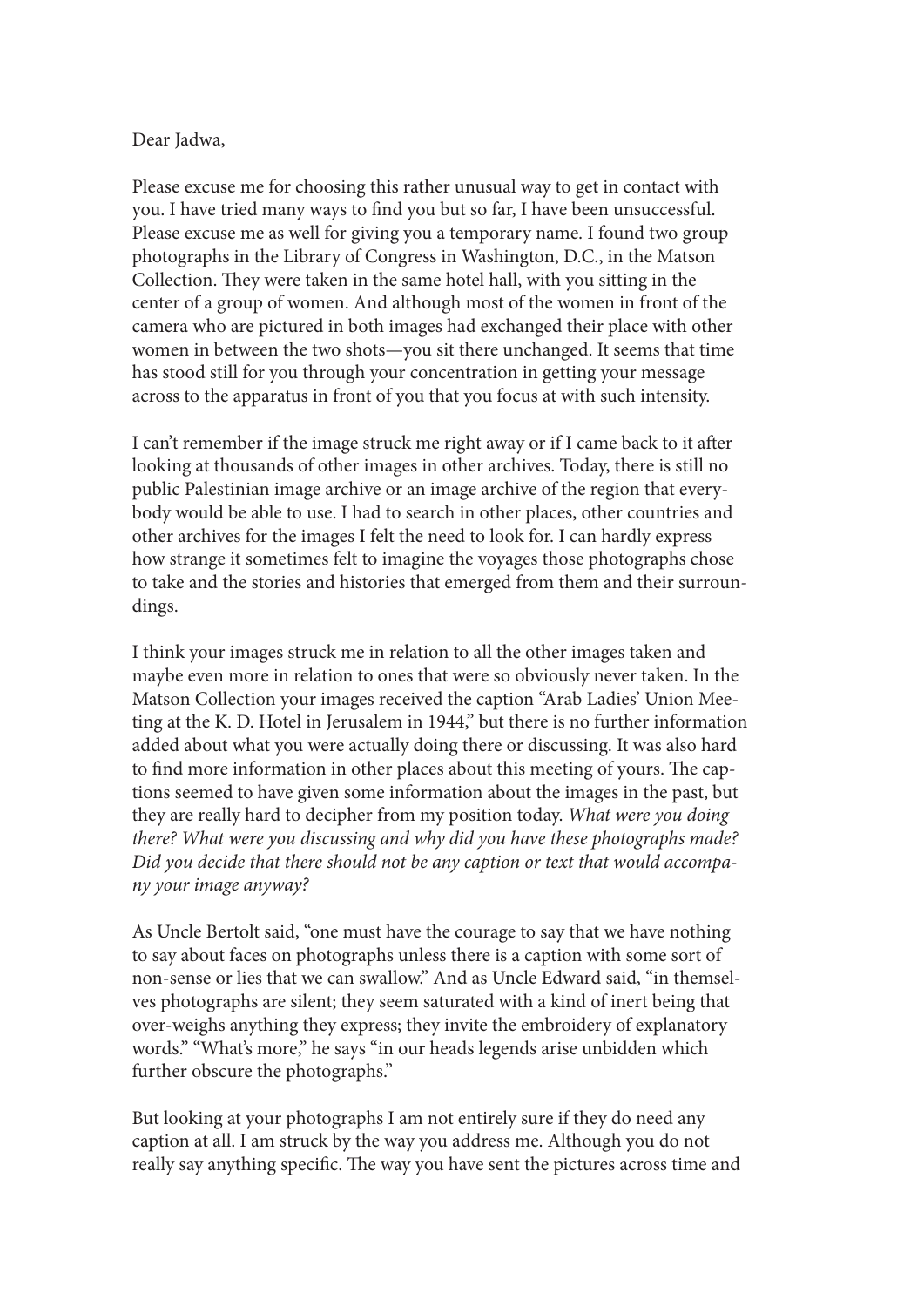## Dear Jadwa,

Please excuse me for choosing this rather unusual way to get in contact with you. I have tried many ways to find you but so far, I have been unsuccessful. Please excuse me as well for giving you a temporary name. I found two group photographs in the Library of Congress in Washington, D.C., in the Matson Collection. They were taken in the same hotel hall, with you sitting in the center of a group of women. And although most of the women in front of the camera who are pictured in both images had exchanged their place with other women in between the two shots—you sit there unchanged. It seems that time has stood still for you through your concentration in getting your message across to the apparatus in front of you that you focus at with such intensity.

I can't remember if the image struck me right away or if I came back to it after looking at thousands of other images in other archives. Today, there is still no public Palestinian image archive or an image archive of the region that everybody would be able to use. I had to search in other places, other countries and other archives for the images I felt the need to look for. I can hardly express how strange it sometimes felt to imagine the voyages those photographs chose to take and the stories and histories that emerged from them and their surroundings.

I think your images struck me in relation to all the other images taken and maybe even more in relation to ones that were so obviously never taken. In the Matson Collection your images received the caption "Arab Ladies' Union Meeting at the K. D. Hotel in Jerusalem in 1944," but there is no further information added about what you were actually doing there or discussing. It was also hard to find more information in other places about this meeting of yours. The captions seemed to have given some information about the images in the past, but they are really hard to decipher from my position today. *What were you doing there? What were you discussing and why did you have these photographs made? Did you decide that there should not be any caption or text that would accompany your image anyway?*

As Uncle Bertolt said, "one must have the courage to say that we have nothing to say about faces on photographs unless there is a caption with some sort of non-sense or lies that we can swallow." And as Uncle Edward said, "in themselves photographs are silent; they seem saturated with a kind of inert being that over-weighs anything they express; they invite the embroidery of explanatory words." "What's more," he says "in our heads legends arise unbidden which further obscure the photographs."

But looking at your photographs I am not entirely sure if they do need any caption at all. I am struck by the way you address me. Although you do not really say anything specific. The way you have sent the pictures across time and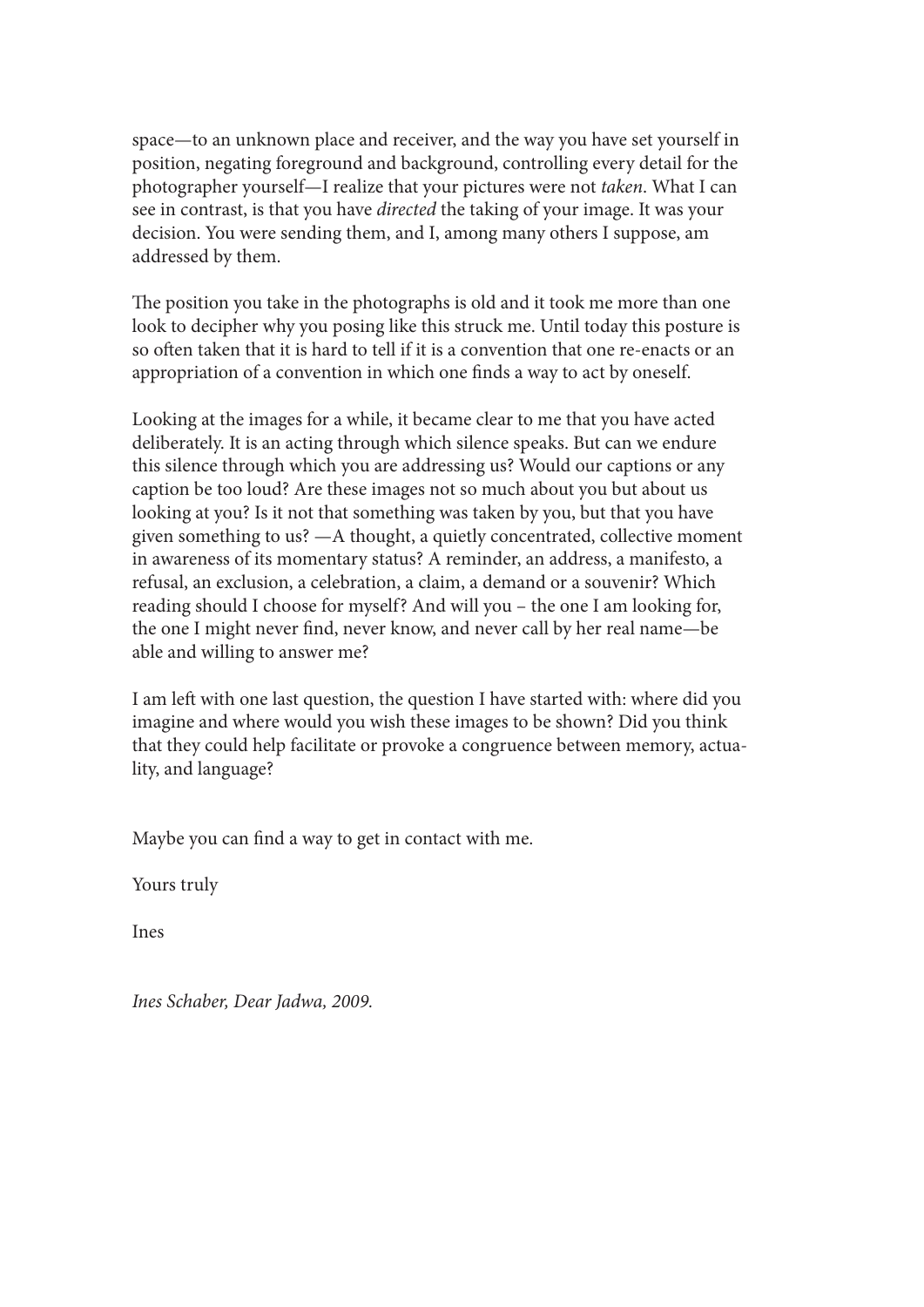space—to an unknown place and receiver, and the way you have set yourself in position, negating foreground and background, controlling every detail for the photographer yourself—I realize that your pictures were not *taken*. What I can see in contrast, is that you have *directed* the taking of your image. It was your decision. You were sending them, and I, among many others I suppose, am addressed by them.

The position you take in the photographs is old and it took me more than one look to decipher why you posing like this struck me. Until today this posture is so often taken that it is hard to tell if it is a convention that one re-enacts or an appropriation of a convention in which one finds a way to act by oneself.

Looking at the images for a while, it became clear to me that you have acted deliberately. It is an acting through which silence speaks. But can we endure this silence through which you are addressing us? Would our captions or any caption be too loud? Are these images not so much about you but about us looking at you? Is it not that something was taken by you, but that you have given something to us? —A thought, a quietly concentrated, collective moment in awareness of its momentary status? A reminder, an address, a manifesto, a refusal, an exclusion, a celebration, a claim, a demand or a souvenir? Which reading should I choose for myself? And will you – the one I am looking for, the one I might never find, never know, and never call by her real name—be able and willing to answer me?

I am left with one last question, the question I have started with: where did you imagine and where would you wish these images to be shown? Did you think that they could help facilitate or provoke a congruence between memory, actuality, and language?

Maybe you can find a way to get in contact with me.

Yours truly

Ines

*Ines Schaber, Dear Jadwa, 2009.*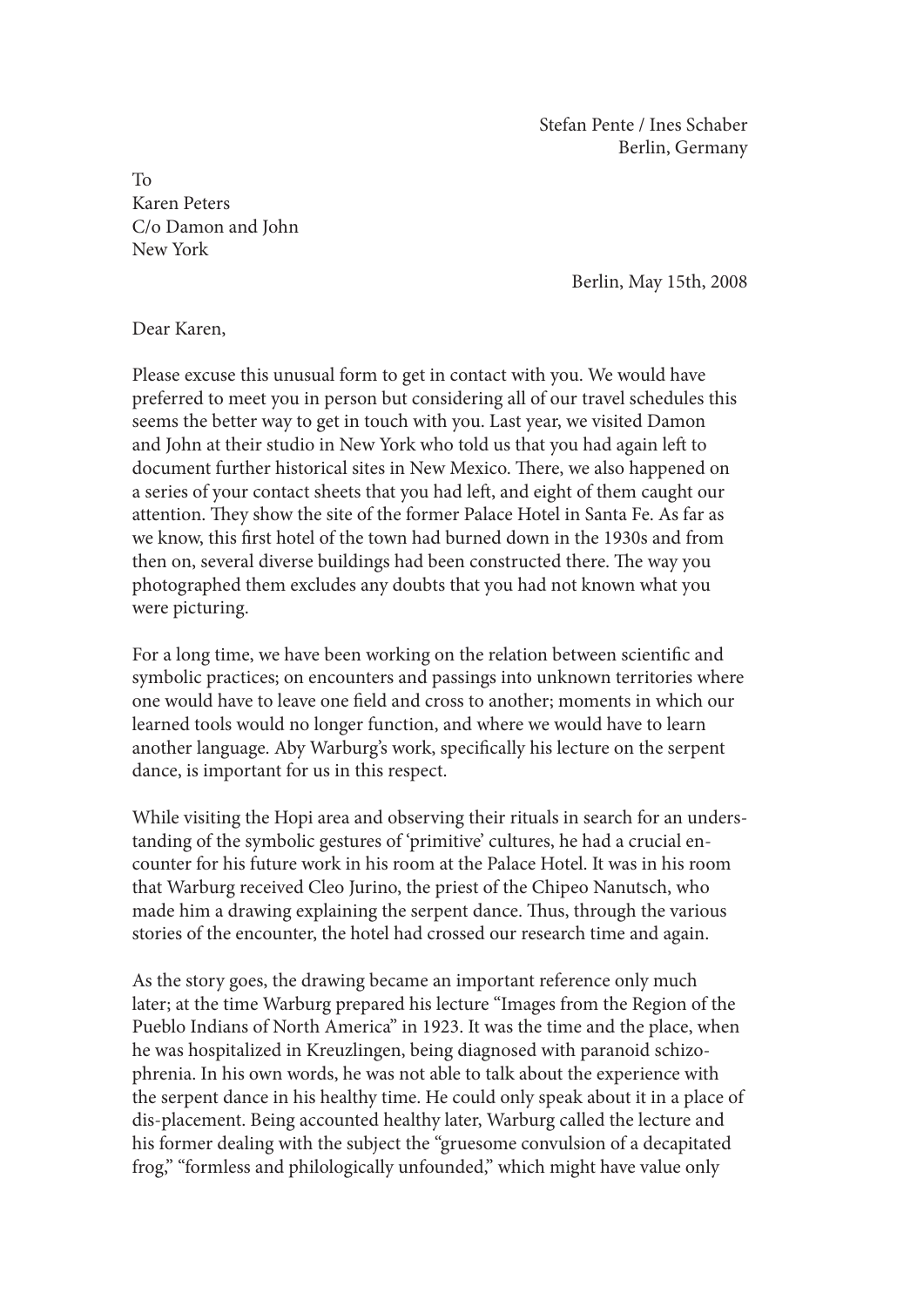Stefan Pente / Ines Schaber Berlin, Germany

To Karen Peters C/o Damon and John New York

Berlin, May 15th, 2008

Dear Karen,

Please excuse this unusual form to get in contact with you. We would have preferred to meet you in person but considering all of our travel schedules this seems the better way to get in touch with you. Last year, we visited Damon and John at their studio in New York who told us that you had again left to document further historical sites in New Mexico. There, we also happened on a series of your contact sheets that you had left, and eight of them caught our attention. They show the site of the former Palace Hotel in Santa Fe. As far as we know, this first hotel of the town had burned down in the 1930s and from then on, several diverse buildings had been constructed there. The way you photographed them excludes any doubts that you had not known what you were picturing.

For a long time, we have been working on the relation between scientific and symbolic practices; on encounters and passings into unknown territories where one would have to leave one field and cross to another; moments in which our learned tools would no longer function, and where we would have to learn another language. Aby Warburg's work, specifically his lecture on the serpent dance, is important for us in this respect.

While visiting the Hopi area and observing their rituals in search for an understanding of the symbolic gestures of 'primitive' cultures, he had a crucial encounter for his future work in his room at the Palace Hotel. It was in his room that Warburg received Cleo Jurino, the priest of the Chipeo Nanutsch, who made him a drawing explaining the serpent dance. Thus, through the various stories of the encounter, the hotel had crossed our research time and again.

As the story goes, the drawing became an important reference only much later; at the time Warburg prepared his lecture "Images from the Region of the Pueblo Indians of North America" in 1923. It was the time and the place, when he was hospitalized in Kreuzlingen, being diagnosed with paranoid schizophrenia. In his own words, he was not able to talk about the experience with the serpent dance in his healthy time. He could only speak about it in a place of dis-placement. Being accounted healthy later, Warburg called the lecture and his former dealing with the subject the "gruesome convulsion of a decapitated frog," "formless and philologically unfounded," which might have value only